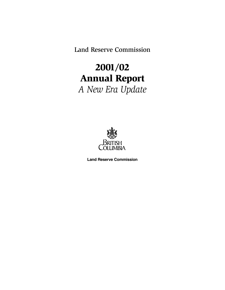Land Reserve Commission

# 2001/02 Annual Report *A New Era Update*



**Land Reserve Commission**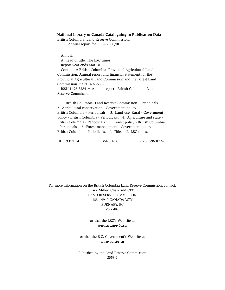#### National Library of Canada Cataloguing in Publication Data

British Columbia. Land Reserve Commission.

Annual report for .... -– 2000/01-

Annual.

At head of title: The LRC times.

Report year ends Mar. 31.

Continues: British Columbia. Provincial Agricultural Land Commission. Annual report and financial statement for the Provincial Agricultural Land Commission and the Forest Land Commission. ISSN 1492-6687.

ISSN 1496-8584 = Annual report - British Columbia. Land Reserve Commission

1. British Columbia. Land Reserve Commission - Periodicals. 2. Agricultural conservation - Government policy - British Columbia – Periodicals. 3. Land use, Rural - Government policy - British Columbia - Periodicals. 4. Agriculture and state - British Columbia - Periodicals. 5. Forest policy - British Columbia - Periodicals. 6. Forest management - Government policy - British Columbia - Periodicals. I. Title. II. LRC times.

HD319.B7B74 354.3'434 C2001-960133-6

For more information on the British Columbia Land Reserve Commission, contact: **Kirk Miller, Chair and CEO** LAND RESERVE COMMISSION 133 - 4940 CANADA WAY BURNABY, BC V5G 4K6

> or visit the LRC's Web site at *www.lrc.gov.bc.ca*

or visit the B.C. Government's Web site at *www.gov.bc.ca*

Published by the Land Reserve Commission 2353-2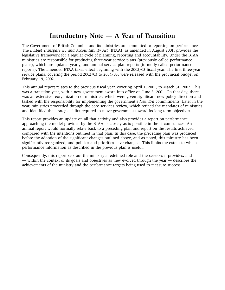## **Introductory Note — A Year of Transition**

The Government of British Columbia and its ministries are committed to reporting on performance. The *Budget Transparency and Accountability Act* (BTAA), as amended in August 2001, provides the legislative framework for a regular cycle of planning, reporting and accountability. Under the BTAA, ministries are responsible for producing three-year service plans (previously called performance plans), which are updated yearly, and annual service plan reports (formerly called performance reports). The amended BTAA takes effect beginning with the 2002/03 fiscal year. The first three-year service plans, covering the period 2002/03 to 2004/05, were released with the provincial budget on February 19, 2002.

This annual report relates to the previous fiscal year, covering April 1, 2001, to March 31, 2002. This was a transition year, with a new government sworn into office on June 5, 2001. On that day, there was an extensive reorganization of ministries, which were given significant new policy direction and tasked with the responsibility for implementing the government's *New Era* commitments. Later in the year, ministries proceeded through the core services review, which refined the mandates of ministries and identified the strategic shifts required to move government toward its long-term objectives.

This report provides an update on all that activity and also provides a report on performance, approaching the model provided by the BTAA as closely as is possible in the circumstances. An annual report would normally relate back to a preceding plan and report on the results achieved compared with the intentions outlined in that plan. In this case, the preceding plan was produced before the adoption of the significant changes outlined above, and as noted, this ministry has been significantly reorganized, and policies and priorities have changed. This limits the extent to which performance information as described in the previous plan is useful.

Consequently, this report sets out the ministry's redefined role and the services it provides, and — within the context of its goals and objectives as they evolved through the year — describes the achievements of the ministry and the performance targets being used to measure success.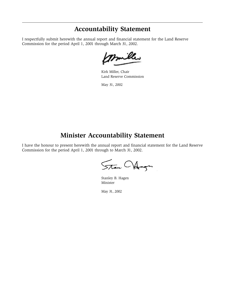### **Accountability Statement**

I respectfully submit herewith the annual report and financial statement for the Land Reserve Commission for the period April 1, 2001 through March 31, 2002.

mille

Kirk Miller, Chair Land Reserve Commission

May 31, 2002

### **Minister Accountability Statement**

I have the honour to present herewith the annual report and financial statement for the Land Reserve Commission for the period April 1, 2001 through to March 31, 2002.

Stan Oldinger

Stanley B. Hagen Minister

May 31, 2002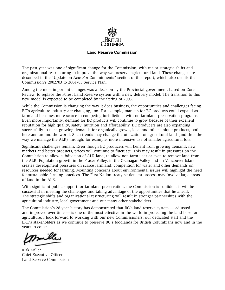

#### **Land Reserve Commission**

The past year was one of significant change for the Commission, with major strategic shifts and organizational restructuring to improve the way we preserve agricultural land. These changes are described in the "Update on *New Era* Commitments" section of this report, which also details the Commission's 2002/03 to 2004/05 Service Plan.

Among the most important changes was a decision by the Provincial government, based on Core Review, to replace the Forest Land Reserve system with a new delivery model. The transition to this new model is expected to be completed by the Spring of 2003.

While the Commission is changing the way it does business, the opportunities and challenges facing BC's agriculture industry are changing, too. For example, markets for BC products could expand as farmland becomes more scarce in competing jurisdictions with no farmland preservation programs. Even more importantly, demand for BC products will continue to grow because of their excellent reputation for high quality, safety, nutrition and affordability. BC producers are also expanding successfully to meet growing demands for organically-grown, local and other unique products, both here and around the world. Such trends may change the utilization of agricultural land (and thus the way we manage the ALR) through, for example, more intensive use of smaller agricultural lots.

Significant challenges remain. Even though BC producers will benefit from growing demand, new markets and better products, prices will continue to fluctuate. This may result in pressures on the Commission to allow subdivision of ALR land, to allow non-farm uses or even to remove land from the ALR. Population growth in the Fraser Valley, in the Okanagan Valley and on Vancouver Island creates development pressures on scarce farmland, competition for water and other demands on resources needed for farming. Mounting concerns about environmental issues will highlight the need for sustainable farming practices. The First Nation treaty settlement process may involve large areas of land in the ALR.

With significant public support for farmland preservation, the Commission is confident it will be successful in meeting the challenges and taking advantage of the opportunities that lie ahead. The strategic shifts and organizational restructuring will result in stronger partnerships with the agricultural industry, local government and our many other stakeholders.

The Commission's 28-year history has demonstrated that BC's land reserve system — adjusted and improved over time — is one of the most effective in the world in protecting the land base for agriculture. I look forward to working with our new Commissioners, our dedicated staff and the LRC's stakeholders as we continue to preserve BC's foodlands for British Columbians now and in the years to come.

miller

Kirk Miller Chief Executive Officer Land Reserve Commission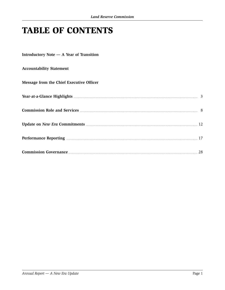# **TABLE OF CONTENTS**

Introductory Note - A Year of Transition

**Accountability Statement** 

#### Message from the Chief Executive Officer

| Year-at-a-Glance Highlights <b>Executive Section</b> 2014 12:00 12:00 13:00 14:00 14:00 14:00 14:00 14:00 14:00 14:00 14:00 14:00 14:00 14:00 14:00 14:00 14:00 14:00 14:00 14:00 14:00 14:00 14:00 14:00 14:00 14:00 14:00 14:00 1 |    |
|-------------------------------------------------------------------------------------------------------------------------------------------------------------------------------------------------------------------------------------|----|
|                                                                                                                                                                                                                                     |    |
| Update on New Era Commitments <b>Example 2018</b> 1980 1981 1992 1994 1995 1996 1996 1997 1998 1998 1999 1999 1999 199                                                                                                              |    |
|                                                                                                                                                                                                                                     |    |
|                                                                                                                                                                                                                                     | 28 |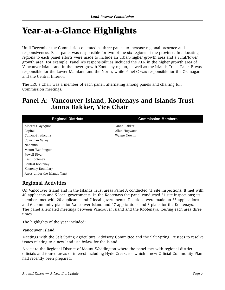# Year-at-a-Glance Highlights

Until December the Commission operated as three panels to increase regional presence and responsiveness. Each panel was responsible for two of the six regions of the province. In allocating regions to each panel efforts were made to include an urban/higher growth area and a rural/lower growth area. For example, Panel A's responsibilities included the ALR in the higher growth area of Vancouver Island and in the lower growth Kootenay region, as well as the Islands Trust. Panel B was responsible for the Lower Mainland and the North, while Panel C was responsible for the Okanagan and the Central Interior.

The LRC's Chair was a member of each panel, alternating among panels and chairing full Commission meetings.

### **Panel A: Vancouver Island, Kootenays and Islands Trust Janna Bakker, Vice Chair**

| <b>Regional Districts</b>     | <b>Commission Members</b> |
|-------------------------------|---------------------------|
| Alberni-Clayoquot             | Janna Bakker              |
| Capital                       | Allan Hopwood             |
| Comox-Strathcona              | Wayne Nowlin              |
| Cowichan Valley               |                           |
| Nanaimo                       |                           |
| Mount Waddington              |                           |
| Powell River                  |                           |
| East Kootenay                 |                           |
| Central Kootenay              |                           |
| Kootenay-Boundary             |                           |
| Areas under the Islands Trust |                           |

### **Regional Activities**

On Vancouver Island and in the Islands Trust areas Panel A conducted 41 site inspections. It met with 40 applicants and 5 local governments. In the Kootenays the panel conducted 31 site inspections; its members met with 20 applicants and 7 local governments. Decisions were made on 53 applications and 6 community plans for Vancouver Island and 47 applications and 3 plans for the Kootenays. The panel alternated meetings between Vancouver Island and the Kootenays, touring each area three times.

The highlights of the year included:

#### **Vancouver Island**

Meetings with the Salt Spring Agricultural Advisory Committee and the Salt Spring Trustees to resolve issues relating to a new land use bylaw for the island.

A visit to the Regional District of Mount Waddington where the panel met with regional district officials and toured areas of interest including Hyde Creek, for which a new Official Community Plan had recently been prepared.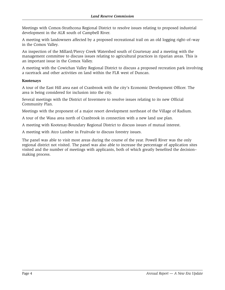Meetings with Comox-Strathcona Regional District to resolve issues relating to proposed industrial development in the ALR south of Campbell River.

A meeting with landowners affected by a proposed recreational trail on an old logging right–of–way in the Comox Valley.

An inspection of the Millard/Piercy Creek Watershed south of Courtenay and a meeting with the management committee to discuss issues relating to agricultural practices in riparian areas. This is an important issue in the Comox Valley.

A meeting with the Cowichan Valley Regional District to discuss a proposed recreation park involving a racetrack and other activities on land within the FLR west of Duncan.

#### **Kootenays**

A tour of the East Hill area east of Cranbrook with the city's Economic Development Officer. The area is being considered for inclusion into the city.

Several meetings with the District of Invermere to resolve issues relating to its new Official Community Plan.

Meetings with the proponent of a major resort development northeast of the Village of Radium.

A tour of the Wasa area north of Cranbrook in connection with a new land use plan.

A meeting with Kootenay-Boundary Regional District to discuss issues of mutual interest.

A meeting with Atco Lumber in Fruitvale to discuss forestry issues.

The panel was able to visit most areas during the course of the year. Powell River was the only regional district not visited. The panel was also able to increase the percentage of application sites visited and the number of meetings with applicants, both of which greatly benefited the decision– making process.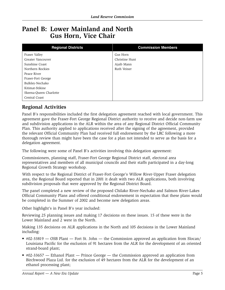### **Panel B: Lower Mainland and North Gus Horn, Vice Chair**

| <b>Regional Districts</b> | <b>Commission Members</b> |
|---------------------------|---------------------------|
| Fraser Valley             | Gus Horn                  |
| Greater Vancouver         | Christine Hunt            |
| Sunshine Coast            | Ajaib Mann                |
| Northern Rockies          | Ruth Veiner               |
| Peace River               |                           |
| Fraser-Fort George        |                           |
| Bulkley-Nechako           |                           |
| Kitimat-Stikine           |                           |
| Skeena-Queen Charlotte    |                           |
| Central Coast             |                           |

### **Regional Activities**

Panel B's responsibilities included the first delegation agreement reached with local government. This agreement gave the Fraser-Fort George Regional District authority to receive and decide non-farm use and subdivision applications in the ALR within the area of any Regional District Official Community Plan. This authority applied to applications received after the signing of the agreement, provided the relevant Official Community Plan had received full endorsement by the LRC following a more thorough review than might have been the case for a plan not intended to serve as the basis for a delegation agreement.

The following were some of Panel B's activities involving this delegation agreement:

Commissioners, planning staff, Fraser-Fort George Regional District staff, electoral area representatives and members of all municipal councils and their staffs participated in a day-long Regional Growth Strategy workshop.

With respect to the Regional District of Fraser-Fort George's Willow River-Upper Fraser delegation area, the Regional Board reported that in 2001 it dealt with two ALR applications, both involving subdivision proposals that were approved by the Regional District Board.

The panel completed a new review of the proposed Chilako River-Nechako and Salmon River-Lakes Official Community Plans and offered conditional endorsement in expectation that these plans would be completed in the Summer of 2002 and become new delegation areas.

Other highlight's in Panel B's year included:

Reviewing 25 planning issues and making 17 decisions on these issues. 15 of these were in the Lower Mainland and 2 were in the North.

Making 135 decisions on ALR applications in the North and 105 decisions in the Lower Mainland including:

- #02-33819 OSB Plant Fort St. John the Commission approved an application from Slocan/ Louisiana Pacific for the exclusion of 91 hectares from the ALR for the development of an oriented strand-board plant;
- #02-33657 Ethanol Plant Prince George the Commission approved an application from Birchwood Plaza Ltd. for the exclusion of 49 hectares from the ALR for the development of an ethanol processing plant;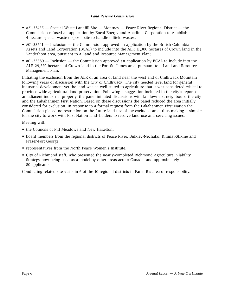- #21-33455 Special Waste Landfill Site Montney Peace River Regional District the Commission refused an application by Encal Energy and Anadime Corporation to establish a 4-hectare special waste disposal site to handle oilfield wastes;
- #01-33641 Inclusion the Commission approved an application by the British Columbia Assets and Land Corporation (BCAL) to include into the ALR 11,300 hectares of Crown land in the Vanderhoof area, pursuant to a Land and Resource Management Plan;
- #01-33880 Inclusion the Commission approved an application by BCAL to include into the ALR 29,570 hectares of Crown land in the Fort St. James area, pursuant to a Land and Resource Management Plan.

Initiating the exclusion from the ALR of an area of land near the west end of Chilliwack Mountain following years of discussion with the City of Chilliwack. The city needed level land for general industrial development yet the land was so well-suited to agriculture that it was considered critical to province-wide agricultural land preservation. Following a suggestion included in the city's report on an adjacent industrial property, the panel initiated discussions with landowners, neighbours, the city and the Lakahahmen First Nation. Based on these discussions the panel reduced the area initially considered for exclusion. In response to a formal request from the Lakahahmen First Nation the Commission placed no restriction on the future land use of the excluded area, thus making it simpler for the city to work with First Nation land–holders to resolve land use and servicing issues.

Meeting with:

- the Councils of Pitt Meadows and New Hazelton,
- board members from the regional districts of Peace River, Bulkley-Nechako, Kitimat-Stikine and Fraser-Fort George,
- representatives from the North Peace Women's Institute,
- City of Richmond staff, who presented the nearly-completed Richmond Agricultural Viability Strategy now being used as a model by other areas across Canada, and approximately 80 applicants.

Conducting related site visits in 6 of the 10 regional districts in Panel B's area of responsibility.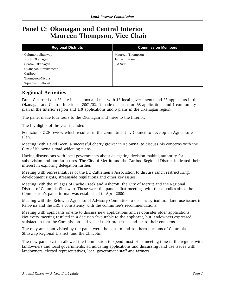### **Panel C: Okanagan and Central Interior Maureen Thompson, Vice Chair**

| <b>Regional Districts</b> | <b>Commission Members</b> |
|---------------------------|---------------------------|
| Columbia Shuswap          | Maureen Thompson          |
| North Okanagan            | James Ingram              |
| Central Okanagan          | Sid Sidhu                 |
| Okanagan-Similkameen      |                           |
| Cariboo                   |                           |
| Thompson-Nicola           |                           |
| Squamish-Lillooet         |                           |

### **Regional Activities**

Panel C carried out 75 site inspections and met with 15 local governments and 78 applicants in the Okanagan and Central Interior in 2001/02. It made decisions on 68 applications and 1 community plan in the Interior region and 118 applications and 5 plans in the Okanagan region.

The panel made four tours to the Okanagan and three to the Interior.

The highlights of the year included:

Penticton's OCP review which resulted in the commitment by Council to develop an Agriculture Plan.

Meeting with David Geen, a successful cherry grower in Kelowna, to discuss his concerns with the City of Kelowna's road widening plans.

Having discussions with local governments about delegating decision-making authority for subdivision and non-farm uses. The City of Merritt and the Cariboo Regional District indicated their interest in exploring delegation further.

Meeting with representatives of the BC Cattlemen's Association to discuss ranch restructuring, development rights, streamside regulations and other key issues.

Meeting with the Villages of Cache Creek and Ashcroft, the City of Merritt and the Regional District of Columbia-Shuswap. These were the panel's first meetings with these bodies since the Commission's panel format was established in April 2000.

Meeting with the Kelowna Agricultural Advisory Committee to discuss agricultural land use issues in Kelowna and the LRC's consistency with the committee's recommendations.

Meeting with applicants on-site to discuss new applications and re-consider older applications. Not every meeting resulted in a decision favourable to the applicant, but landowners expressed satisfaction that the Commission had visited their properties and heard their concerns.

The only areas not visited by the panel were the eastern and southern portions of Columbia Shuswap Regional District, and the Chilcotin.

The new panel system allowed the Commission to spend most of its meeting time in the regions with landowners and local governments, adjudicating applications and discussing land use issues with landowners, elected representatives, local government staff and farmers.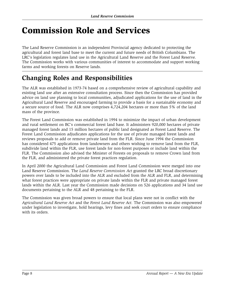# Commission Role and Services

The Land Reserve Commission is an independent Provincial agency dedicated to protecting the agricultural and forest land base to meet the current and future needs of British Columbians. The LRC's legislation regulates land use in the Agricultural Land Reserve and the Forest Land Reserve. The Commission works with various communities of interest to accommodate and support working farms and working forests on Reserve lands.

## **Changing Roles and Responsibilities**

The ALR was established in 1973-74 based on a comprehensive review of agricultural capability and existing land use after an extensive consultation process. Since then the Commission has provided advice on land use planning to local communities, adjudicated applications for the use of land in the Agricultural Land Reserve and encouraged farming to provide a basis for a sustainable economy and a secure source of food. The ALR now comprises 4,724,204 hectares or more than 5% of the land mass of the province.

The Forest Land Commission was established in 1994 to minimize the impact of urban development and rural settlement on BC's commercial forest land base. It administers 920,000 hectares of private managed forest lands and 15 million hectares of public land designated as Forest Land Reserve. The Forest Land Commission adjudicates applications for the use of private managed forest lands and reviews proposals to add or remove private land from the FLR. Since June 1994 the Commission has considered 475 applications from landowners and others wishing to remove land from the FLR, subdivide land within the FLR, use forest lands for non-forest purposes or include land within the FLR. The Commission also advised the Minister of Forests on proposals to remove Crown land from the FLR, and administered the private forest practices regulation.

In April 2000 the Agricultural Land Commission and Forest Land Commission were merged into one Land Reserve Commission. The *Land Reserve Commission Act* granted the LRC broad discretionary powers over lands to be included into the ALR and excluded from the ALR and FLR, and determining what forest practices were appropriate on private lands within the FLR and private managed forest lands within the ALR. Last year the Commission made decisions on 526 applications and 34 land use documents pertaining to the ALR and 48 pertaining to the FLR.

The Commission was given broad powers to ensure that local plans were not in conflict with the *Agricultural Land Reserve Act* and the *Forest Land Reserve Act.* The Commission was also empowered under legislation to investigate, hold hearings, levy fines and seek court orders to ensure compliance with its orders.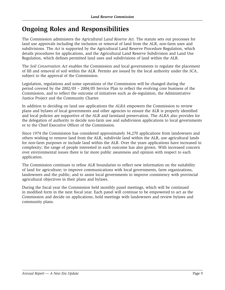## **Ongoing Roles and Responsibilities**

The Commission administers the *Agricultural Land Reserve Act.* The statute sets out processes for land use approvals including the inclusion or removal of land from the ALR, non-farm uses and subdivisions. The *Act* is supported by the Agricultural Land Reserve Procedure Regulation, which details procedures for applications, and the Agricultural Land Reserve Subdivision and Land Use Regulation, which defines permitted land uses and subdivisions of land within the ALR.

The *Soil Conservation Act* enables the Commission and local governments to regulate the placement of fill and removal of soil within the ALR. Permits are issued by the local authority under the *SCA*, subject to the approval of the Commission.

Legislation, regulations and some operations of the Commission will be changed during the period covered by the 2002/03 – 2004/05 Service Plan to reflect the evolving core business of the Commission, and to reflect the outcome of initiatives such as de-regulation, the Administrative Justice Project and the Community Charter.

In addition to deciding on land use applications the *ALRA* empowers the Commission to review plans and bylaws of local governments and other agencies to ensure the ALR is properly identified and local policies are supportive of the ALR and farmland preservation. The *ALRA* also provides for the delegation of authority to decide non-farm use and subdivision applications to local governments or to the Chief Executive Officer of the Commission.

Since 1974 the Commission has considered approximately 34,270 applications from landowners and others wishing to remove land from the ALR, subdivide land within the ALR, use agricultural lands for non-farm purposes or include land within the ALR. Over the years applications have increased in complexity; the range of people interested in each outcome has also grown. With increased concern over environmental issues there is far more public awareness and opinion with respect to each application.

The Commission continues to refine ALR boundaries to reflect new information on the suitability of land for agriculture; to improve communications with local governments, farm organizations, landowners and the public; and to assist local governments to improve consistency with provincial agricultural objectives in their plans and bylaws.

During the fiscal year the Commission held monthly panel meetings, which will be continued in modified form in the next fiscal year. Each panel will continue to be empowered to act as the Commission and decide on applications, hold meetings with landowners and review bylaws and community plans.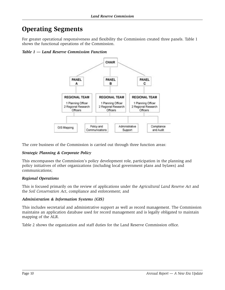## **Operating Segments**

For greater operational responsiveness and flexibility the Commission created three panels. Table 1 shows the functional operations of the Commission.

*Table 1 — Land Reserve Commission Function*



The core business of the Commission is carried out through three function areas:

#### *Strategic Planning & Corporate Policy*

This encompasses the Commission's policy development role, participation in the planning and policy initiatives of other organizations (including local government plans and bylaws) and communications;

#### *Regional Operations*

This is focused primarily on the review of applications under the *Agricultural Land Reserve Act* and the *Soil Conservation Act*, compliance and enforcement; and

#### *Administration & Information Systems (GIS)*

This includes secretarial and administrative support as well as record management. The Commission maintains an application database used for record management and is legally obligated to maintain mapping of the ALR.

Table 2 shows the organization and staff duties for the Land Reserve Commission office.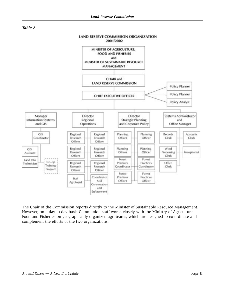



The Chair of the Commission reports directly to the Minister of Sustainable Resource Management. However, on a day-to-day basis Commission staff works closely with the Ministry of Agriculture, Food and Fisheries on geographically organized agri-teams, which are designed to co-ordinate and complement the efforts of the two organizations.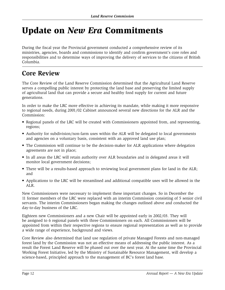# Update on *New Era* Commitments

During the fiscal year the Provincial government conducted a comprehensive review of its ministries, agencies, boards and commissions to identify and confirm government's core roles and responsibilities and to determine ways of improving the delivery of services to the citizens of British Columbia.

## **Core Review**

The Core Review of the Land Reserve Commission determined that the Agricultural Land Reserve serves a compelling public interest by protecting the land base and preserving the limited supply of agricultural land that can provide a secure and healthy food supply for current and future generations.

In order to make the LRC more effective in achieving its mandate, while making it more responsive to regional needs, during 2001/02 Cabinet announced several new directions for the ALR and the Commission:

- Regional panels of the LRC will be created with Commissioners appointed from, and representing, regions;
- Authority for subdivision/non-farm uses within the ALR will be delegated to local governments and agencies on a voluntary basis, consistent with an approved land use plan;
- The Commission will continue to be the decision-maker for ALR applications where delegation agreements are not in place;
- In all areas the LRC will retain authority over ALR boundaries and in delegated areas it will monitor local government decisions;
- There will be a results-based approach to reviewing local government plans for land in the ALR; and
- Applications to the LRC will be streamlined and additional compatible uses will be allowed in the ALR.

New Commissioners were necessary to implement these important changes. So in December the 11 former members of the LRC were replaced with an interim Commission consisting of 5 senior civil servants. The interim Commissioners began making the changes outlined above and conducted the day-to-day business of the LRC.

Eighteen new Commissioners and a new Chair will be appointed early in 2002/03. They will be assigned to 6 regional panels with three Commissioners on each. All Commissioners will be appointed from within their respective regions to ensure regional representation as well as to provide a wide range of experience, background and views.

Core Review also determined that land use regulation of private Managed Forests and non-managed forest land by the Commission was not an effective means of addressing the public interest. As a result the Forest Land Reserve will be phased out over the next year. At the same time the Provincial Working Forest Initiative, led by the Ministry of Sustainable Resource Management, will develop a science-based, principled approach to the management of BC's forest land base.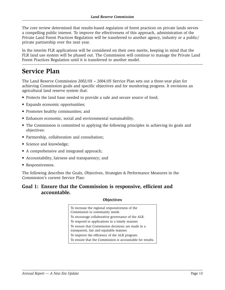The core review determined that results-based regulation of forest practices on private lands serves a compelling public interest. To improve the effectiveness of this approach, administration of the Private Land Forest Practices Regulation will be transferred to another agency, industry or a public/ private partnership over the next year.

In the interim FLR applications will be considered on their own merits, keeping in mind that the FLR land use system will be phased out. The Commission will continue to manage the Private Land Forest Practices Regulation until it is transferred to another model.

## **Service Plan**

The Land Reserve Commission 2002/03 **–** 2004/05 Service Plan sets out a three-year plan for achieving Commission goals and specific objectives and for monitoring progress. It envisions an agricultural land reserve system that:

- Protects the land base needed to provide a safe and secure source of food;
- Expands economic opportunities;
- Promotes healthy communities; and
- Enhances economic, social and environmental sustainability.
- The Commission is committed to applying the following principles in achieving its goals and objectives:
- Partnership, collaboration and consultation;
- Science and knowledge;
- A comprehensive and integrated approach;
- Accountability, fairness and transparency; and
- Responsiveness.

The following describes the Goals, Objectives, Strategies & Performance Measures in the Commission's current Service Plan:

### **Goal 1: Ensure that the Commission is responsive, efficient and accountable.**

#### **Objectives**

| To increase the regional responsiveness of the<br>Commission to community needs.             |
|----------------------------------------------------------------------------------------------|
| To encourage collaborative governance of the ALR.                                            |
| To respond to applications in a timely manner.                                               |
| To ensure that Commission decisions are made in a<br>transparent, fair and equitable manner. |
| To improve the efficiency of the ALR program.                                                |
| To ensure that the Commission is accountable for results.                                    |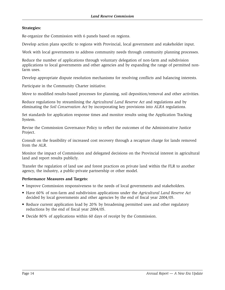#### **Strategies:**

Re-organize the Commission with 6 panels based on regions.

Develop action plans specific to regions with Provincial, local government and stakeholder input.

Work with local governments to address community needs through community planning processes.

Reduce the number of applications through voluntary delegation of non-farm and subdivision applications to local governments and other agencies and by expanding the range of permitted nonfarm uses.

Develop appropriate dispute resolution mechanisms for resolving conflicts and balancing interests.

Participate in the Community Charter initiative.

Move to modified results-based processes for planning, soil deposition/removal and other activities.

Reduce regulations by streamlining the *Agricultural Land Reserve Act* and regulations and by eliminating the *Soil Conservation Act* by incorporating key provisions into *ALRA* regulations.

Set standards for application response times and monitor results using the Application Tracking System.

Revise the Commission Governance Policy to reflect the outcomes of the Administrative Justice Project.

Consult on the feasibility of increased cost recovery through a recapture charge for lands removed from the ALR.

Monitor the impact of Commission and delegated decisions on the Provincial interest in agricultural land and report results publicly.

Transfer the regulation of land use and forest practices on private land within the FLR to another agency, the industry, a public-private partnership or other model.

#### **Performance Measures and Targets:**

- Improve Commission responsiveness to the needs of local governments and stakeholders.
- Have 60% of non-farm and subdivision applications under the *Agricultural Land Reserve Act* decided by local governments and other agencies by the end of fiscal year 2004/05.
- Reduce current application load by 20% by broadening permitted uses and other regulatory reductions by the end of fiscal year 2004/05.
- Decide 80% of applications within 60 days of receipt by the Commission.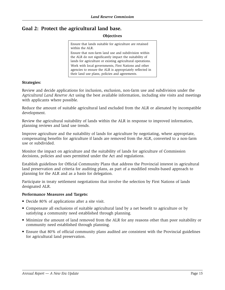### **Goal 2: Protect the agricultural land base.**

#### **Objectives**

Ensure that lands suitable for agriculture are retained within the ALR.

Ensure that non-farm land use and subdivision within the ALR do not significantly impact the suitability of lands for agriculture or existing agricultural operations. Work with local governments, First Nations and other agencies to ensure the ALR is appropriately reflected in their land use plans, policies and agreements.

#### **Strategies:**

Review and decide applications for inclusion, exclusion, non-farm use and subdivision under the *Agricultural Land Reserve Act* using the best available information, including site visits and meetings with applicants where possible.

Reduce the amount of suitable agricultural land excluded from the ALR or alienated by incompatible development.

Review the agricultural suitability of lands within the ALR in response to improved information, planning reviews and land use trends.

Improve agriculture and the suitability of lands for agriculture by negotiating, where appropriate, compensating benefits for agriculture if lands are removed from the ALR, converted to a non-farm use or subdivided.

Monitor the impact on agriculture and the suitability of lands for agriculture of Commission decisions, policies and uses permitted under the Act and regulations.

Establish guidelines for Official Community Plans that address the Provincial interest in agricultural land preservation and criteria for auditing plans, as part of a modified results-based approach to planning for the ALR and as a basis for delegation.

Participate in treaty settlement negotiations that involve the selection by First Nations of lands designated ALR.

#### **Performance Measures and Targets:**

- Decide 80% of applications after a site visit.
- Compensate all exclusions of suitable agricultural land by a net benefit to agriculture or by satisfying a community need established through planning.
- Minimize the amount of land removed from the ALR for any reasons other than poor suitability or community need established through planning.
- Ensure that 80% of official community plans audited are consistent with the Provincial guidelines for agricultural land preservation.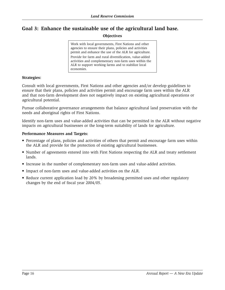### **Goal 3: Enhance the sustainable use of the agricultural land base.**

#### **Objectives**

Work with local governments, First Nations and other agencies to ensure their plans, policies and activities permit and enhance the use of the ALR for agriculture. Provide for farm and rural diversification, value-added activities and complementary non-farm uses within the ALR to support working farms and to stabilize local economies.

#### **Strategies:**

Consult with local governments, First Nations and other agencies and/or develop guidelines to ensure that their plans, policies and activities permit and encourage farm uses within the ALR and that non-farm development does not negatively impact on existing agricultural operations or agricultural potential.

Pursue collaborative governance arrangements that balance agricultural land preservation with the needs and aboriginal rights of First Nations.

Identify non-farm uses and value-added activities that can be permitted in the ALR without negative impacts on agricultural businesses or the long-term suitability of lands for agriculture.

#### **Performance Measures and Targets:**

- Percentage of plans, policies and activities of others that permit and encourage farm uses within the ALR and provide for the protection of existing agricultural businesses.
- Number of agreements entered into with First Nations respecting the ALR and treaty settlement lands.
- Increase in the number of complementary non-farm uses and value-added activities.
- Impact of non-farm uses and value-added activities on the ALR.
- Reduce current application load by 20% by broadening permitted uses and other regulatory changes by the end of fiscal year 2004/05.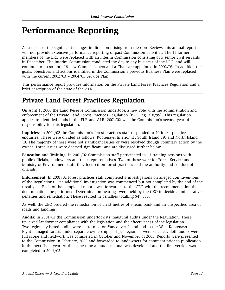# Performance Reporting

As a result of the significant changes in direction arising from the Core Review, this annual report will not provide extensive performance reporting of past Commission activities. The 11 former members of the LRC were replaced with an interim Commission consisting of 5 senior civil servants in December. The interim Commission conducted the day-to-day business of the LRC, and will continue to do so until 18 new Commissioners and a Chair are appointed in 2002/03. In addition the goals, objectives and actions identified in the Commission's previous Business Plan were replaced with the current 2002/03 – 2004/05 Service Plan.

This performance report provides information on the Private Land Forest Practices Regulation and a brief description of the state of the ALR.

### **Private Land Forest Practices Regulation**

On April 1, 2000 the Land Reserve Commission undertook a new role with the administration and enforcement of the Private Land Forest Practices Regulation (B.C. Reg. 318/99). This regulation applies to identified lands in the FLR and ALR. 2001/02 was the Commission's second year of responsibility for this legislation.

**Inquiries**: In 2001/02 the Commission's forest practices staff responded to 40 forest practices enquiries. These were divided as follows: Kootenays/Interior 11; South Island 19; and North Island 10. The majority of these were not significant issues or were resolved though voluntary action by the owner. Three issues were deemed significant, and are discussed further below.

**Education and Training**: In 2001/02 Commission staff participated in 13 training sessions with public officials, landowners and their representatives. Two of these were for Forest Service and Ministry of Environment staff; they focused on forest practices and the authority and conduct of officials.

**Enforcement**: In 2001/02 forest practices staff completed 3 investigations on alleged contraventions of the Regulations. One additional investigation was commenced but not completed by the end of the fiscal year. Each of the completed reports was forwarded to the CEO with the recommendation that determinations be performed. Determination hearings were held by the CEO to decide administrative penalties and remediation. These resulted in penalties totalling \$47,500.

As well, the CEO ordered the remediation of 1,213 metres of stream bank and an unspecified area of roads and landings.

**Audits**: In 2001/02 the Commission undertook its inaugural audits under the Regulation. These reviewed landowner compliance with the legislation and the effectiveness of the legislation. Two regionally-based audits were performed on Vancouver Island and in the West Kootenays. Eight managed forests under separate ownership — 4 per region — were selected. Both audits were full scope and fieldwork was completed in October and November of 2001. Reports were presented to the Commission in February, 2002 and forwarded to landowners for comment prior to publication in the next fiscal year. At the same time an audit manual was developed and the first version was completed in 2001/02.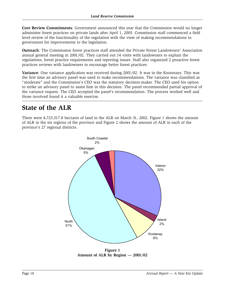**Core Review Commitments:** Government announced this year that the Commission would no longer administer forest practices on private lands after April 1, 2003. Commission staff commenced a field level review of the functionality of the regulation with the view of making recommendations to government for improvements to the legislation.

Outreach: The Commission forest practices staff attended the Private Forest Landowners' Association annual general meeting in 2001/02. They carried out 14 visits with landowners to explain the regulations, forest practice requirements and reporting issues. Staff also organized 2 proactive forest practices reviews with landowners to encourage better forest practices.

Variance: One variance application was received during 2001/02. It was in the Kootenays. This was the first time an advisory panel was used to make recommendations. The variance was classified as "moderate" and the Commission's CEO was the statutory decision-maker. The CEO used his option to strike an advisory panel to assist him in this decision. The panel recommended partial approval of the variance request. The CEO accepted the panel's recommendation. The process worked well and those involved found it a valuable exercise.

## State of the ALR

There were 4,723,517.8 hectares of land in the ALR on March 31, 2002. Figure 1 shows the amount of ALR in the six regions of the province and Figure 2 shows the amount of ALR in each of the province's 27 regional districts.



Figure 1 Amount of ALR by Region - 2001/02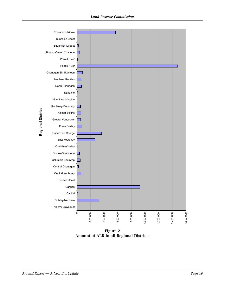

**Figure 2 Amount of ALR in all Regional Districts**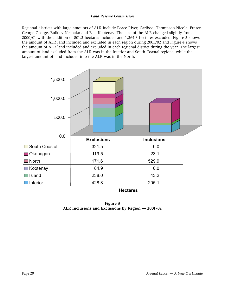Regional districts with large amounts of ALR include Peace River, Cariboo, Thompson-Nicola, Fraser-George George, Bulkley-Nechako and East Kootenay. The size of the ALR changed slightly from 2000/01 with the addition of 801.3 hectares included and 1,364.3 hectares excluded. Figure 3 shows the amount of ALR land included and excluded in each region during 2001/02 and Figure 4 shows the amount of ALR land included and excluded in each regional district during the year. The largest amount of land excluded from the ALR was in the Interior and South Coastal regions, while the largest amount of land included into the ALR was in the North.



**Hectares** 

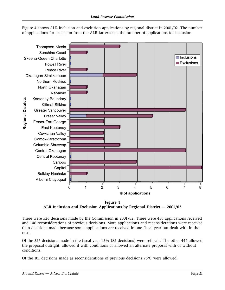

Figure 4 shows ALR inclusion and exclusion applications by regional district in 2001/02. The number of applications for exclusion from the ALR far exceeds the number of applications for inclusion.

Figure 4 ALR Inclusion and Exclusion Applications by Regional District  $-$  2001/02

There were 526 decisions made by the Commission in 2001/02. There were 450 applications received and 146 reconsiderations of previous decisions. More applications and reconsiderations were received than decisions made because some applications are received in one fiscal year but dealt with in the next.

Of the 526 decisions made in the fiscal year 15% (82 decisions) were refusals. The other 444 allowed the proposal outright, allowed it with conditions or allowed an alternate proposal with or without conditions.

Of the 101 decisions made as reconsiderations of previous decisions 75% were allowed.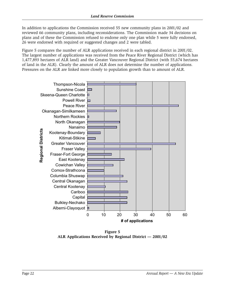In addition to applications the Commission received 55 new community plans in 2001/02 and reviewed 66 community plans, including reconsiderations. The Commission made 34 decisions on plans and of these the Commission refused to endorse only one plan while 5 were fully endorsed, 26 were endorsed with required or suggested changes and 2 were tabled.

Figure 5 compares the number of ALR applications received in each regional district in 2001/02. The largest number of applications was received from the Peace River Regional District (which has 1,477,893 hectares of ALR land) and the Greater Vancouver Regional District (with 55,674 hectares of land in the ALR). Clearly the amount of ALR does not determine the number of applications. Pressures on the ALR are linked more closely to population growth than to amount of ALR.



Figure 5 ALR Applications Received by Regional District - 2001/02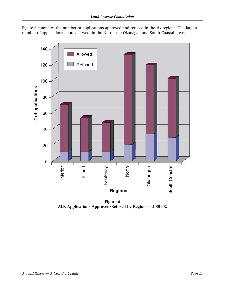Figure 6 compares the number of applications approved and refused in the six regions. The largest number of applications approved were in the North, the Okanagan and South Coastal areas.



Figure 6 ALR Applications Approved/Refused by Region - 2001/02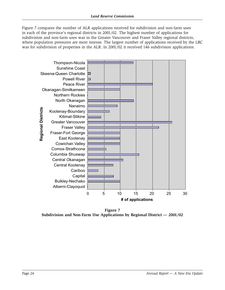Figure 7 compares the number of ALR applications received for subdivision and non-farm uses in each of the province's regional districts in 2001/02. The highest number of applications for subdivision and non-farm uses was in the Greater Vancouver and Fraser Valley regional districts, where population pressures are most intense. The largest number of applications received by the LRC was for subdivision of properties in the ALR. In 2001/02 it received 146 subdivision applications.



Figure 7 Subdivision and Non-Farm Use Applications by Regional District  $-$  2001/02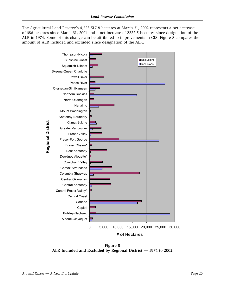The Agricultural Land Reserve's 4,723,517.8 hectares at March 31, 2002 represents a net decrease of 686 hectares since March 31, 2001 and a net increase of 2222.5 hectares since designation of the ALR in 1974. Some of this change can be attributed to improvements in GIS. Figure 8 compares the amount of ALR included and excluded since designation of the ALR.



**Figure 8 ALR Included and Excluded by Regional District — 1974 to 2002**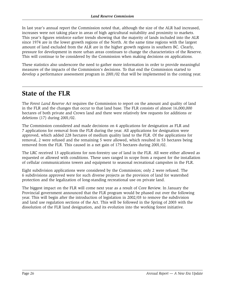In last year's annual report the Commission noted that, although the size of the ALR had increased, increases were not taking place in areas of high agricultural suitability and proximity to markets. This year's figures reinforce earlier trends showing that the majority of lands included into the ALR since 1974 are in the lower growth regions of the North. At the same time regions with the largest amount of land excluded from the ALR are in the higher growth regions in southern BC. Clearly, pressure for development in more urban areas continues to change the characteristics of the Reserve. This will continue to be considered by the Commission when making decisions on applications.

These statistics also underscore the need to gather more information in order to provide meaningful measures of the impacts of the Commission's decisions. To that end the Commission started to develop a performance assessment program in 2001/02 that will be implemented in the coming year.

### **State of the FLR**

The *Forest Land Reserve Act* requires the Commission to report on the amount and quality of land in the FLR and the changes that occur to that land base. The FLR consists of almost 16,000,000 hectares of both private and Crown land and there were relatively few requests for additions or deletions (17) during 2001/02.

The Commission considered and made decisions on 4 applications for designation as FLR and 7 applications for removal from the FLR during the year. All applications for designation were approved, which added 228 hectares of medium quality land to the FLR. Of the applications for removal, 2 were refused and the remaining 5 were allowed, which resulted in 53 hectares being removed from the FLR. This caused in a net gain of 175 hectares during 2001/02.

The LRC received 13 applications for non-forestry use of land in the FLR. All were either allowed as requested or allowed with conditions. These uses ranged in scope from a request for the installation of cellular communications towers and equipment to seasonal recreational campsites in the FLR.

Eight subdivision applications were considered by the Commission; only 2 were refused. The 6 subdivisions approved were for such diverse projects as the provision of land for watershed protection and the legalization of long-standing recreational use on private land.

The biggest impact on the FLR will come next year as a result of Core Review. In January the Provincial government announced that the FLR program would be phased out over the following year. This will begin after the introduction of legislation in 2002/03 to remove the subdivision and land use regulation sections of the Act. This will be followed in the Spring of 2003 with the dissolution of the FLR land designation, and its evolution into the working forest initiative.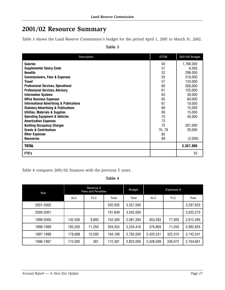## **2001/02 Resource Summary**

Table 3 shows the Land Reserve Commission's budget for the period April 1, 2001 to March 31, 2002.

| Description                                         | <b>STOB</b> | 2001/02 Budget |
|-----------------------------------------------------|-------------|----------------|
| <b>Salaries</b>                                     | 50          | 1,766,000      |
| <b>Supplemental Salary Costs</b>                    | 51          | 6,000          |
| <b>Benefits</b>                                     | 52          | 296,000        |
| <b>Commissioners, Fees &amp; Expenses</b>           | 55          | 316,000        |
| <b>Travel</b>                                       | 57          | 133,000        |
| <b>Professional Services, Operational</b>           | 60          | 266,000        |
| <b>Professional Services, Advisory</b>              | 61          | 125,000        |
| <b>Information Systems</b>                          | 63          | 30,000         |
| <b>Office Business Expenses</b>                     | 65          | 60,000         |
| <b>Informational Advertising &amp; Publications</b> | 67          | 10,000         |
| <b>Statutory Advertising &amp; Publications</b>     | 68          | 15,000         |
| <b>Utilities, Materials &amp; Supplies</b>          | 69          | 15,000         |
| <b>Operating Equipment &amp; Vehicles</b>           | 70          | 40,000         |
| <b>Amortization Expenses</b>                        | 73          |                |
| <b>Building Occupancy Charges</b>                   | 75          | 261,000        |
| <b>Grants &amp; Contributions</b>                   | 76, 78      | 20,000         |
| <b>Other Expenses</b>                               | 85          |                |
| <b>Recoveries</b>                                   | 89          | (2,000)        |
| <b>TOTAL</b>                                        |             | 3,357,000      |
| FTE's                                               |             | 33             |

**Table 3**

Table 4 compares 2001/02 finances with the previous 5 years.

**Table 4**

| Year      | Revenue \$<br><b>Fees and Penalties</b> |            | <b>Budget</b> | Expenses \$ |            |            |           |
|-----------|-----------------------------------------|------------|---------------|-------------|------------|------------|-----------|
|           | <b>ALC</b>                              | <b>FLC</b> | Total         | Total       | <b>ALC</b> | <b>FLC</b> | Total     |
| 2001-2002 |                                         |            | 202,935       | 3,357,000   |            |            | 3,287,625 |
| 2000-2001 |                                         |            | 191,849       | 3,042,000   |            |            | 3,032,275 |
| 1999-2000 | 142,500                                 | 9,800      | 152,300       | 2,081,284   | 453,283    | 77,928     | 2,612,495 |
| 1998-1999 | 193,305                                 | 11,250     | 204,555       | 2,234,416   | 376,869    | 71,550     | 2,682,835 |
| 1997-1998 | 178,689                                 | 15,500     | 194,189       | 2,782,000   | 2,420,531  | 322,010    | 2,742,541 |
| 1996-1997 | 172,000                                 | 381        | 172,381       | 2,823,000   | 2,428,589  | 336,072    | 2,764,661 |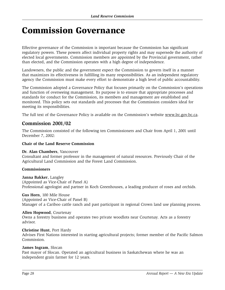# Commission Governance

Effective governance of the Commission is important because the Commission has significant regulatory powers. These powers affect individual property rights and may supersede the authority of elected local governments. Commission members are appointed by the Provincial government, rather than elected, and the Commission operates with a high degree of independence.

Landowners, the public and the government expect the Commission to govern itself in a manner that maximizes its effectiveness in fulfilling its many responsibilities. As an independent regulatory agency the Commission must make every effort to demonstrate a high level of public accountability.

The Commission adopted a Governance Policy that focuses primarily on the Commission's operations and function of overseeing management. Its purpose is to ensure that appropriate processes and standards for conduct for the Commission, its members and management are established and monitored. This policy sets out standards and processes that the Commission considers ideal for meeting its responsibilities.

The full text of the Governance Policy is available on the Commission's website www.lrc.gov.bc.ca.

### **Commission 2001/02**

The Commission consisted of the following ten Commissioners and Chair from April 1, 2001 until December 7, 2002:

#### **Chair of the Land Reserve Commission**

#### **Dr. Alan Chambers**, Vancouver

Consultant and former professor in the management of natural resources. Previously Chair of the Agricultural Land Commission and the Forest Land Commission.

#### **Commissioners**

**Janna Bakker**, Langley (Appointed as Vice-Chair of Panel A) Professional agrologist and partner in Koch Greenhouses, a leading producer of roses and orchids.

#### **Gus Horn**, 100 Mile House

(Appointed as Vice-Chair of Panel B) Manager of a Cariboo cattle ranch and past participant in regional Crown land use planning process.

#### **Allen Hopwood**, Courtenay

Owns a forestry business and operates two private woodlots near Courtenay. Acts as a forestry advisor.

#### **Christine Hunt**, Port Hardy

Advises First Nations interested in starting agricultural projects; former member of the Pacific Salmon Commission.

#### **James Ingram**, Slocan

Past mayor of Slocan. Operated an agricultural business in Saskatchewan where he was an independent grain farmer for 12 years.